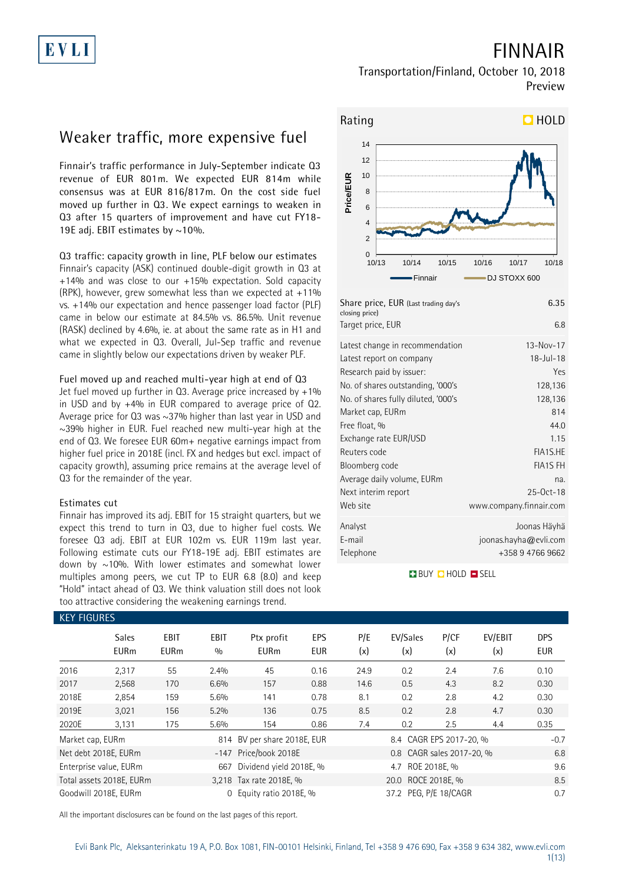## **FINNAIR**

### **Transportation/Finland, October 10, 2018 Preview**

## **Weaker traffic, more expensive fuel**

**Finnair's traffic performance in July-September indicate Q3 revenue of EUR 801m. We expected EUR 814m while consensus was at EUR 816/817m. On the cost side fuel moved up further in Q3. We expect earnings to weaken in Q3 after 15 quarters of improvement and have cut FY18- 19E adj. EBIT estimates by ~10%.** 

**Q3 traffic: capacity growth in line, PLF below our estimates** Finnair's capacity (ASK) continued double-digit growth in Q3 at +14% and was close to our +15% expectation. Sold capacity (RPK), however, grew somewhat less than we expected at +11% vs. +14% our expectation and hence passenger load factor (PLF) came in below our estimate at 84.5% vs. 86.5%. Unit revenue (RASK) declined by 4.6%, ie. at about the same rate as in H1 and what we expected in Q3. Overall, Jul-Sep traffic and revenue came in slightly below our expectations driven by weaker PLF.

### **Fuel moved up and reached multi-year high at end of Q3**

Jet fuel moved up further in  $Q3$ . Average price increased by  $+1\%$ in USD and by +4% in EUR compared to average price of Q2. Average price for Q3 was ~37% higher than last year in USD and  $\sim$ 39% higher in EUR. Fuel reached new multi-year high at the end of Q3. We foresee EUR 60m+ negative earnings impact from higher fuel price in 2018E (incl. FX and hedges but excl. impact of capacity growth), assuming price remains at the average level of Q3 for the remainder of the year.

### **Estimates cut**

Finnair has improved its adj. EBIT for 15 straight quarters, but we expect this trend to turn in Q3, due to higher fuel costs. We foresee Q3 adj. EBIT at EUR 102m vs. EUR 119m last year. Following estimate cuts our FY18-19E adj. EBIT estimates are down by  $\sim$ 10%. With lower estimates and somewhat lower multiples among peers, we cut TP to EUR 6.8 (8.0) and keep "Hold" intact ahead of Q3. We think valuation still does not look too attractive considering the weakening earnings trend.



| Share price, EUR (Last trading day's<br>closing price)      | 6.35                                                      |
|-------------------------------------------------------------|-----------------------------------------------------------|
| Target price, EUR                                           | 6.8                                                       |
| Latest change in recommendation<br>Latest report on company | $13 - Nov - 17$<br>$18 - J$ ul-18                         |
| Research paid by issuer:                                    | Yes                                                       |
| No. of shares outstanding, '000's                           | 128,136                                                   |
| No. of shares fully diluted, '000's                         | 128,136                                                   |
| Market cap, EURm                                            | 814                                                       |
| Free float, %                                               | 44.0                                                      |
| Exchange rate EUR/USD                                       | 1.15                                                      |
| Reuters code                                                | FIA1S.HE                                                  |
| Bloomberg code                                              | <b>FIA1S FH</b>                                           |
| Average daily volume, EURm                                  | na.                                                       |
| Next interim report                                         | $25-0ct-18$                                               |
| Web site                                                    | www.company.finnair.com                                   |
| Analyst<br>E-mail<br>Telephone                              | Joonas Häyhä<br>joonas.hayha@evli.com<br>+358 9 4766 9662 |

**BUY CHOLD SELL** 

| <b>KEY FIGURES</b> |                             |                            |                    |                             |                   |                    |                           |             |                |                          |
|--------------------|-----------------------------|----------------------------|--------------------|-----------------------------|-------------------|--------------------|---------------------------|-------------|----------------|--------------------------|
|                    | <b>Sales</b><br><b>EURm</b> | <b>EBIT</b><br><b>EURm</b> | <b>EBIT</b><br>0/0 | Ptx profit<br><b>EURm</b>   | EPS<br><b>EUR</b> | P/E<br>(x)         | EV/Sales<br>(x)           | P/CF<br>(x) | EV/EBIT<br>(x) | <b>DPS</b><br><b>EUR</b> |
| 2016               | 2,317                       | 55                         | 2.4%               | 45                          | 0.16              | 24.9               | 0.2                       | 2.4         | 7.6            | 0.10                     |
| 2017               | 2,568                       | 170                        | 6.6%               | 157                         | 0.88              | 14.6               | 0.5                       | 4.3         | 8.2            | 0.30                     |
| 2018E              | 2,854                       | 159                        | 5.6%               | 141                         | 0.78              | 8.1                | 0.2                       | 2.8         | 4.2            | 0.30                     |
| 2019E              | 3,021                       | 156                        | 5.2%               | 136                         | 0.75              | 8.5                | 0.2                       | 2.8         | 4.7            | 0.30                     |
| 2020E              | 3,131                       | 175                        | 5.6%               | 154                         | 0.86              | 7.4                | 0.2                       | 2.5         | 4.4            | 0.35                     |
| Market cap, EURm   |                             |                            |                    | 814 BV per share 2018E, EUR |                   |                    | 8.4 CAGR EPS 2017-20, %   |             |                | $-0.7$                   |
|                    | Net debt 2018E, EURm        |                            |                    | -147 Price/book 2018E       |                   |                    | 0.8 CAGR sales 2017-20, % |             |                | 6.8                      |
|                    | Enterprise value, EURm      |                            | 667                | Dividend yield 2018E, %     |                   |                    | 4.7 ROE 2018E. %          |             |                | 9.6                      |
|                    | Total assets 2018E, EURm    |                            |                    | 3,218 Tax rate 2018E, %     |                   | 20.0 ROCE 2018E, % |                           |             |                |                          |
|                    | Goodwill 2018E, EURm        |                            |                    | 0 Equity ratio 2018E, %     |                   |                    | 37.2 PEG, P/E 18/CAGR     |             |                | 0.7                      |

All the important disclosures can be found on the last pages of this report.

## Evli Bank Plc, Aleksanterinkatu 19 A, P.O. Box 1081, FIN-00101 Helsinki, Finland, Tel +358 9 476 690, Fax +358 9 634 382, [www.evli.com](http://www.evli.com/)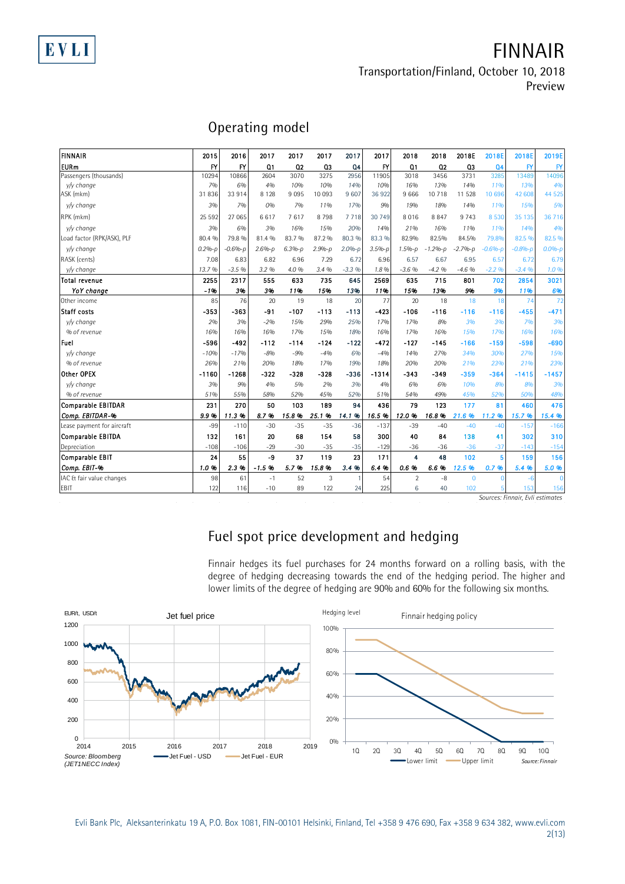EVLI

## **FINNAIR Transportation/Finland, October 10, 2018**

**Preview**

| Operating model |  |
|-----------------|--|
|-----------------|--|

|                            |          | Operating model |                |                |            |          |            |                |             |             |                |              |              |
|----------------------------|----------|-----------------|----------------|----------------|------------|----------|------------|----------------|-------------|-------------|----------------|--------------|--------------|
| FINNAIR                    | 2015     | 2016            | 2017           | 2017           | 2017       | 2017     | 2017       | 2018           | 2018        | 2018E       | 2018E          | 2018E        | 2019E        |
| <b>EURm</b>                | FY       | FY              | Q <sub>1</sub> | Q <sub>2</sub> | 03         | 04       | <b>FY</b>  | Q1             | 02          | Q3          | Q <sub>4</sub> | $\mathsf{F}$ | BY           |
| Passengers (thousands)     | 10294    | 10866           | 2604           | 3070           | 3275       | 2956     | 11905      | 3018           | 3456        | 3731        | 3285           | 13489        | 14096        |
| v/v change                 | 7%       | 6%              | 4%             | 10%            | 10%        | 14%      | 10%        | 16%            | 13%         | 14%         | 11%            | 13%          | 4%           |
| ASK (mkm)                  | 31836    | 33914           | 8 1 2 8        | 9095           | 10 093     | 9 607    | 36922      | 9666           | 10718       | 11 528      | 10 696         | 42 608       | 44 525       |
| y/y change                 | 3%       | 7%              | 0%             | 7%             | 11%        | 17%      | 9%         | 19%            | 18%         | 14%         | 11%            | 15%          | 5%           |
| RPK (mkm)                  | 25 5 9 2 | 27 065          | 6617           | 7617           | 8798       | 7718     | 30 749     | 8016           | 8847        | 9 7 4 3     | 8530           | 35 135       | 36716        |
| v/y change                 | 3%       | 6%              | 3%             | 16%            | 15%        | 20%      | 14%        | 21%            | 16%         | 11%         | 11%            | <b>14%</b>   | 4%           |
| Load factor (RPK/ASK), PLF | 80.4 %   | 79.8 %          | 81.4 %         | 83.7 %         | 87.2 %     | 80.3 %   | 83.3 %     | 82.9%          | 82.5%       | 84.5%       | 79.8%          | 82.5 %       | 82.5 %       |
| v/v change                 | $0.2%-p$ | $-0.6% - p$     | $2.6%-p$       | $6.3% - p$     | $2.9% - p$ | $2.0%-p$ | $3.5% - p$ | $1.5% - p$     | $-1.2% - p$ | $-2.7% - p$ | $-0.6%-p$      | $-0.8% - D$  | $0.0%-p$     |
| RASK (cents)               | 7.08     | 6.83            | 6.82           | 6.96           | 7.29       | 6.72     | 6.96       | 6.57           | 6.67        | 6.95        | 6.57           | 6.72         | 6.79         |
| v/y change                 | 13.7 %   | $-3.5%$         | 3.2 %          | 4.0 %          | 3.4 %      | $-3.3%$  | 1.8%       | $-3.6%$        | $-4.2%$     | $-4.6%$     | $-2.2%$        | $-3.4%$      | 1.0%         |
| Total revenue              | 2255     | 2317            | 555            | 633            | 735        | 645      | 2569       | 635            | 715         | 801         | 702            | 2854         | 3021         |
| YoY change                 | $-196$   | 3%              | 3%             | 11%            | 15%        | 13%      | 11%        | 15%            | 13%         | 9%          | 9%             | 11%          | 6%           |
| Other income               | 85       | 76              | 20             | 19             | 18         | 20       | 77         | 20             | 18          | 18          | 18             | 74           | 72           |
| Staff costs                | $-353$   | $-363$          | $-91$          | $-107$         | $-113$     | $-113$   | $-423$     | $-106$         | $-116$      | $-116$      | $-116$         | $-455$       | $-471$       |
| v/y change                 | 2%       | 3%              | $-2%$          | 15%            | 29%        | 25%      | 17%        | 17%            | 8%          | 3%          | 3%             | 7%           | 3%           |
| % of revenue               | 16%      | 16%             | 16%            | 17%            | 15%        | 18%      | 16%        | 17%            | 16%         | 15%         | 17%            | 16%          | 16%          |
| Fuel                       | -596     | $-492$          | -112           | $-114$         | $-124$     | $-122$   | $-472$     | $-127$         | -145        | $-166$      | $-159$         | $-598$       | $-690$       |
| v/v change                 | $-10%$   | $-17%$          | $-8%$          | $-900$         | $-4%$      | 6%       | $-4%$      | 14%            | 27%         | 34%         | 30%            | 27%          | 15%          |
| % of revenue               | 26%      | 21%             | 20%            | 18%            | 17%        | 19%      | 18%        | 20%            | 20%         | 21%         | 23%            | 21%          | 23%          |
| Other OPEX                 | $-1160$  | $-1268$         | $-322$         | -328           | $-328$     | $-336$   | $-1314$    | $-343$         | $-349$      | $-359$      | $-364$         | $-1415$      | $-1457$      |
| v/v change                 | 3%       | 9%              | 4%             | 5%             | 2%         | 3%       | 4%         | 6%             | 6%          | 10%         | 8%             | 8%           | 3%           |
| % of revenue               | 51%      | 55%             | 58%            | 52%            | 45%        | 52%      | 51%        | 54%            | 49%         | 45%         | 52%            | <b>50%</b>   | 48%          |
| <b>Comparable EBITDAR</b>  | 231      | 270             | 50             | 103            | 189        | 94       | 436        | 79             | 123         | 177         | 81             | 460          | 476          |
| Comp. EBITDAR-%            | 9.9%     | 11.3%           | 8.7%           | 15.8%          | 25.1%      | 14.1 %   | 16.5%      | 12.0%          | 16.8%       | 21.6%       | 11.2%          | 15.7 %       | 15.4 %       |
| Lease payment for aircraft | $-99$    | $-110$          | $-30$          | $-35$          | $-35$      | $-36$    | $-137$     | $-39$          | $-40$       | $-40$       | $-40$          | $-157$       | $-166$       |
| Comparable EBITDA          | 132      | 161             | 20             | 68             | 154        | 58       | 300        | 40             | 84          | 138         | 41             | 302          | 310          |
| Depreciation               | $-108$   | $-106$          | $-29$          | $-30$          | $-35$      | $-35$    | $-129$     | $-36$          | $-36$       | $-36$       | $-37$          | $-143$       | $-154$       |
| Comparable EBIT            | 24       | 55              | -9             | 37             | 119        | 23       | 171        | 4              | 48          | 102         | $\overline{5}$ | 159          | 156          |
| Comp. EBIT-%               | 1.0%     | 2.3 %           | $-1.596$       | 5.7%           | 15.8%      | 3.4%     | 6.4%       | 0.6%           | 6.6%        | 12.5%       | 0.7%           | 5.4 %        | 5.0 %        |
| IAC & fair value changes   | 98       | 61              | $-1$           | 52             | 3          |          | 54         | $\overline{2}$ | $-8$        | $\bf{0}$    | $\Omega$       | $-6$         | $\mathbf{0}$ |
| <b>EBIT</b>                | 122      | 116             | $-10$          | 89             | 122        | 24       | 225        | 6              | 40          | 102         |                | 153          | 156          |

*Sources: Finnair, Evli estimates*

## **Fuel spot price development and hedging**

Finnair hedges its fuel purchases for 24 months forward on a rolling basis, with the degree of hedging decreasing towards the end of the hedging period. The higher and lower limits of the degree of hedging are 90% and 60% for the following six months.



Evli Bank Plc, Aleksanterinkatu 19 A, P.O. Box 1081, FIN-00101 Helsinki, Finland, Tel +358 9 476 690, Fax +358 9 634 382, [www.evli.com](http://www.evli.com/) 2(13)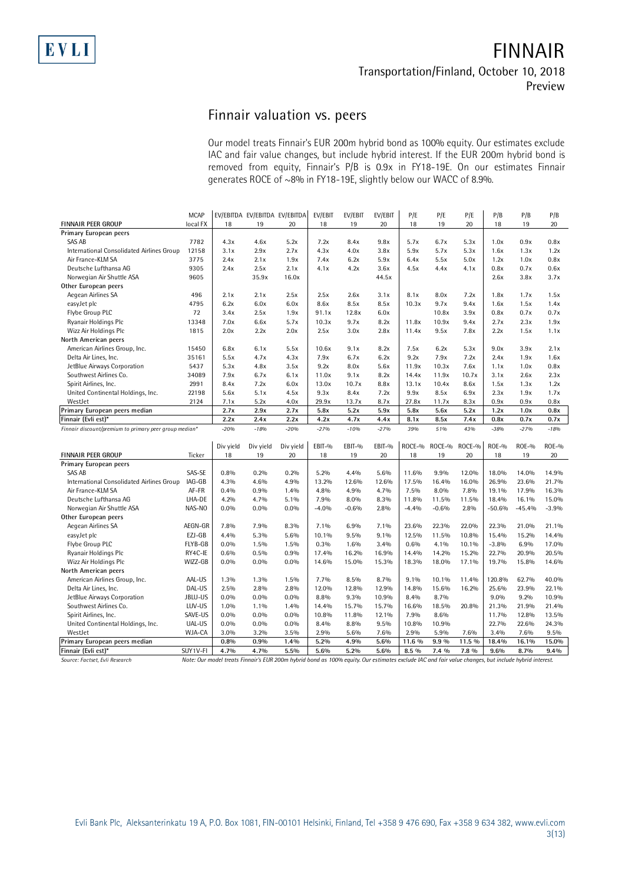### **Finnair valuation vs. peers**

Our model treats Finnair's EUR 200m hybrid bond as 100% equity. Our estimates exclude IAC and fair value changes, but include hybrid interest. If the EUR 200m hybrid bond is removed from equity, Finnair's P/B is 0.9x in FY18-19E. On our estimates Finnair

|                                                        |                         |           | generates ROCE of ~8% in FY18-19E, slightly below our WACC of 8.9%. |           |               |               |               |             |           |           |              |           |              |
|--------------------------------------------------------|-------------------------|-----------|---------------------------------------------------------------------|-----------|---------------|---------------|---------------|-------------|-----------|-----------|--------------|-----------|--------------|
|                                                        |                         |           |                                                                     |           |               |               |               |             |           |           |              |           |              |
|                                                        |                         |           |                                                                     |           |               |               |               |             |           |           |              |           |              |
|                                                        |                         |           |                                                                     |           |               |               |               |             |           |           |              |           |              |
| <b>FINNAIR PEER GROUP</b>                              | <b>MCAP</b><br>local FX | 18        | EV/EBITDA EV/EBITDA EV/EBITDA<br>19                                 | 20        | EV/EBIT<br>18 | EV/EBIT<br>19 | EV/EBIT<br>20 | P/E<br>18   | P/E<br>19 | P/E<br>20 | P/B<br>18    | P/B<br>19 | P/B<br>20    |
| Primary European peers                                 |                         |           |                                                                     |           |               |               |               |             |           |           |              |           |              |
| SAS AB                                                 | 7782                    | 4.3x      | 4.6x                                                                | 5.2x      | 7.2x          | 8.4x          | 9.8x          | 5.7x        | 6.7x      | 5.3x      | 1.0x         | 0.9x      | 0.8x         |
| International Consolidated Airlines Group              | 12158                   | 3.1x      | 2.9x                                                                | 2.7x      | 4.3x          | 4.0x          | 3.8x          | 5.9x        | 5.7x      | 5.3x      | 1.6x         | 1.3x      | 1.2x         |
| Air France-KLM SA                                      | 3775                    | 2.4x      | 2.1x                                                                | 1.9x      | 7.4x          | 6.2x          | 5.9x          | 6.4x        | 5.5x      | 5.0x      | 1.2x         | 1.0x      | 0.8x         |
| Deutsche Lufthansa AG                                  | 9305                    | 2.4x      | 2.5x                                                                | 2.1x      | 4.1x          | 4.2x          | 3.6x          | 4.5x        | 4.4x      | 4.1x      | 0.8x         | 0.7x      | 0.6x         |
| Norwegian Air Shuttle ASA                              | 9605                    |           | 35.9x                                                               | 16.0x     |               |               | 44.5x         |             |           |           | 2.6x         | 3.8x      | 3.7x         |
| Other European peers                                   |                         |           |                                                                     |           |               |               |               |             |           |           |              |           |              |
| Aegean Airlines SA                                     | 496                     | 2.1x      | 2.1x                                                                | 2.5x      | 2.5x          | 2.6x          | 3.1x          | 8.1x        | 8.0x      | 7.2x      | 1.8x         | 1.7x      | 1.5x         |
| easyJet plc                                            | 4795                    | 6.2x      | 6.0x                                                                | 6.0x      | 8.6x          | 8.5x          | 8.5x          | 10.3x       | 9.7x      | 9.4x      | 1.6x         | 1.5x      | 1.4x         |
| Flybe Group PLC                                        | 72                      | 3.4x      | 2.5x                                                                | 1.9x      | 91.1x         | 12.8x         | 6.0x          |             | 10.8x     | 3.9x      | 0.8x         | 0.7x      | 0.7x         |
| Ryanair Holdings Plc                                   | 13348                   | 7.0x      | 6.6x                                                                | 5.7x      | 10.3x         | 9.7x          | 8.2x          | 11.8x       | 10.9x     | 9.4x      | 2.7x         | 2.3x      | 1.9x         |
| Wizz Air Holdings Plc                                  | 1815                    | 2.0x      | 2.2x                                                                | 2.0x      | 2.5x          | 3.0x          | 2.8x          | 11.4x       | 9.5x      | 7.8x      | 2.2x         | 1.5x      | 1.1x         |
|                                                        |                         |           |                                                                     |           |               |               |               |             |           |           |              |           |              |
| North American peers                                   |                         |           |                                                                     |           | 10.6x         | 9.1x          | 8.2x          |             | 6.2x      | 5.3x      | 9.0x         | 3.9x      |              |
| American Airlines Group, Inc.                          | 15450                   | 6.8x      | 6.1x                                                                | 5.5x      |               |               |               | 7.5x        |           |           |              |           | 2.1x         |
| Delta Air Lines, Inc.                                  | 35161                   | 5.5x      | 4.7x                                                                | 4.3x      | 7.9x          | 6.7x          | 6.2x          | 9.2x        | 7.9x      | 7.2x      | 2.4x         | 1.9x      | 1.6x         |
| JetBlue Airways Corporation                            | 5437                    | 5.3x      | 4.8x                                                                | 3.5x      | 9.2x          | 8.0x          | 5.6x          | 11.9x       | 10.3x     | 7.6x      | 1.1x         | 1.0x      | 0.8x         |
| Southwest Airlines Co.                                 | 34089                   | 7.9x      | 6.7x                                                                | 6.1x      | 11.0x         | 9.1x          | 8.2x          | 14.4x       | 11.9x     | 10.7x     | 3.1x         | 2.6x      | 2.3x         |
| Spirit Airlines, Inc.                                  | 2991                    | 8.4x      | 7.2x                                                                | 6.0x      | 13.0x         | 10.7x         | 8.8x          | 13.1x       | 10.4x     | 8.6x      | 1.5x         | 1.3x      | 1.2x         |
| United Continental Holdings, Inc.                      | 22198                   | 5.6x      | 5.1x                                                                | 4.5x      | 9.3x          | 8.4x          | 7.2x          | 9.9x        | 8.5x      | 6.9x      | 2.3x         | 1.9x      | 1.7x         |
| WestJet                                                | 2124                    | 7.1x      | 5.2x                                                                | 4.0x      | 29.9x         | 13.7x         | 8.7x          | 27.8x       | 11.7x     | 8.3x      | 0.9x         | 0.9x      | 0.8x         |
| Primary European peers median                          |                         | 2.7x      | 2.9x                                                                | 2.7x      | 5.8x          | 5.2x          | 5.9x          | 5.8x        | 5.6x      | 5.2x      | 1.2x         | 1.0x      | 0.8x         |
| Finnair (Evli est)*                                    |                         | 2.2x      | 2.4x                                                                | 2.2x      | 4.2x          | 4.7x          | 4.4x          | 8.1x<br>39% | 8.5x      | 7.4x      | 0.8x         | 0.7x      | 0.7x         |
| Finnair discount/premium to primary peer group median* |                         | $-20%$    | $-18%$                                                              | $-20%$    | $-27%$        | $-10%$        | $-27%$        |             | 51%       | 43%       | $-38%$       | $-27%$    | $-18%$       |
|                                                        |                         | Div yield |                                                                     | Div yield | EBIT-%        | EBIT-%        | EBIT-%        | ROCE-%      | ROCE-%    | ROCE-%    | <b>ROE-%</b> | ROE-%     | <b>ROE-%</b> |
| FINNAIR PEER GROUP                                     | Ticker                  | 18        | Div yield<br>19                                                     | 20        | 18            | 19            | 20            | 18          | 19        | 20        | 18           | 19        | 20           |
| Primary European peers                                 |                         |           |                                                                     |           |               |               |               |             |           |           |              |           |              |
| SAS AB                                                 | SAS-SE                  | 0.8%      | 0.2%                                                                | 0.2%      | 5.2%          | 4.4%          | 5.6%          | 11.6%       | 9.9%      | 12.0%     | 18.0%        | 14.0%     | 14.9%        |
| International Consolidated Airlines Group              | IAG-GB                  | 4.3%      | 4.6%                                                                | 4.9%      | 13.2%         | 12.6%         | 12.6%         | 17.5%       | 16.4%     | 16.0%     | 26.9%        | 23.6%     | 21.7%        |
| Air France-KLM SA                                      | AF-FR                   | 0.4%      | 0.9%                                                                | 1.4%      | 4.8%          | 4.9%          | 4.7%          | 7.5%        | 8.0%      | 7.8%      | 19.1%        | 17.9%     | 16.3%        |
| Deutsche Lufthansa AG                                  | LHA-DE                  | 4.2%      | 4.7%                                                                | 5.1%      | 7.9%          | 8.0%          | 8.3%          | 11.8%       | 11.5%     | 11.5%     | 18.4%        | 16.1%     | 15.0%        |
| Norwegian Air Shuttle ASA                              | NAS-NO                  | $0.0\%$   | 0.0%                                                                | $0.0\%$   | $-4.0%$       | $-0.6%$       | 2.8%          | $-4.4%$     | $-0.6%$   | 2.8%      | $-50.6%$     | $-45.4%$  | $-3.9%$      |
| Other European peers                                   |                         |           |                                                                     |           |               |               |               |             |           |           |              |           |              |
| Aegean Airlines SA                                     | AEGN-GR                 | 7.8%      | 7.9%                                                                | 8.3%      | $7.1\%$       | 6.9%          | 7.1%          | 23.6%       | 22.3%     | 22.0%     | 22.3%        | 21.0%     | 21.1%        |
|                                                        | EZJ-GB                  | 4.4%      | 5.3%                                                                | 5.6%      | 10.1%         | 9.5%          | 9.1%          | 12.5%       | 11.5%     | 10.8%     | 15.4%        | 15.2%     | 14.4%        |
| easyJet plc<br>Flybe Group PLC                         | FLYB-GB                 | 0.0%      | 1.5%                                                                | 1.5%      | 0.3%          | 1.6%          | 3.4%          | 0.6%        | 4.1%      | 10.1%     | $-3.8%$      | 6.9%      | 17.0%        |
| Ryanair Holdings Plc                                   | RY4C-IE                 | 0.6%      | 0.5%                                                                | 0.9%      | 17.4%         | 16.2%         | 16.9%         | 14.4%       | 14.2%     | 15.2%     | 22.7%        | 20.9%     | 20.5%        |
| Wizz Air Holdings Plc                                  | WIZZ-GB                 | $0.0\%$   | $0.0\%$                                                             | $0.0\%$   | 14.6%         | 15.0%         | 15.3%         | 18.3%       | 18.0%     | 17.1%     | 19.7%        | 15.8%     | 14.6%        |
|                                                        |                         |           |                                                                     |           |               |               |               |             |           |           |              |           |              |
| North American peers                                   | AAL-US                  | 1.3%      |                                                                     | 1.5%      | 7.7%          | 8.5%          | 8.7%          | 9.1%        | 10.1%     | 11.4%     | 120.8%       | 62.7%     |              |
| American Airlines Group, Inc.                          |                         |           | 1.3%                                                                |           |               |               |               |             |           |           |              |           | 40.0%        |
| Delta Air Lines, Inc.                                  | DAL-US                  | 2.5%      | 2.8%                                                                | 2.8%      | 12.0%         | 12.8%         | 12.9%         | 14.8%       | 15.6%     | 16.2%     | 25.6%        | 23.9%     | 22.1%        |
| JetBlue Airways Corporation                            | JBLU-US                 | $0.0\%$   | 0.0%                                                                | $0.0\%$   | 8.8%          | 9.3%          | 10.9%         | 8.4%        | 8.7%      |           | 9.0%         | 9.2%      | 10.9%        |
| Southwest Airlines Co.                                 | LUV-US                  | 1.0%      | 1.1%                                                                | 1.4%      | 14.4%         | 15.7%         | 15.7%         | 16.6%       | 18.5%     | 20.8%     | 21.3%        | 21.9%     | 21.4%        |
| Spirit Airlines, Inc.                                  | SAVE-US                 | 0.0%      | 0.0%                                                                | $0.0\%$   | 10.8%         | 11.8%         | 12.1%         | 7.9%        | 8.6%      |           | 11.7%        | 12.8%     | 13.5%        |
| United Continental Holdings, Inc.                      | UAL-US                  | $0.0\%$   | 0.0%                                                                | 0.0%      | 8.4%          | 8.8%          | 9.5%          | 10.8%       | 10.9%     |           | 22.7%        | 22.6%     | 24.3%        |
| WestJet                                                | WJA-CA                  | 3.0%      | 3.2%                                                                | 3.5%      | 2.9%          | 5.6%          | 7.6%          | 2.9%        | 5.9%      | 7.6%      | 3.4%         | 7.6%      | 9.5%         |
| Primary European peers median                          |                         | 0.8%      | 0.9%                                                                | 1.4%      | 5.2%          | 4.9%          | 5.6%          | 11.6 %      | 9.9 %     | 11.5 %    | 18.4%        | 16.1%     | 15.0%        |
| Finnair (Evli est)*                                    | SUY1V-FI                | 4.7%      | 4.7%                                                                | 5.5%      | 5.6%          | 5.2%          | 5.6%          | 8.5 %       | $7.4\%$   | 7.8 %     | 9.6%         | 8.7%      | $9.4\%$      |

*Source: Factset, Evli Research Note: Our model treats Finnair's EUR 200m hybrid bond as 100% equity. Our estimates exclude IAC and fair value changes, but include hybrid interest.*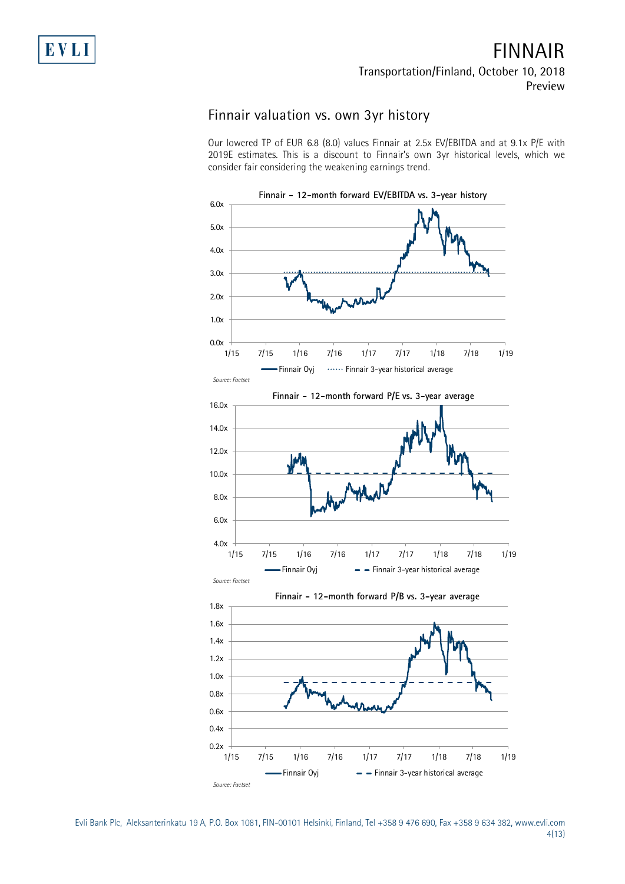### **FINNAIR Transportation/Finland, October 10, 2018 Preview**

### **Finnair valuation vs. own 3yr history**

Our lowered TP of EUR 6.8 (8.0) values Finnair at 2.5x EV/EBITDA and at 9.1x P/E with 2019E estimates. This is a discount to Finnair's own 3yr historical levels, which we consider fair considering the weakening earnings trend.



Evli Bank Plc, Aleksanterinkatu 19 A, P.O. Box 1081, FIN-00101 Helsinki, Finland, Tel +358 9 476 690, Fax +358 9 634 382, [www.evli.com](http://www.evli.com/) 4(13)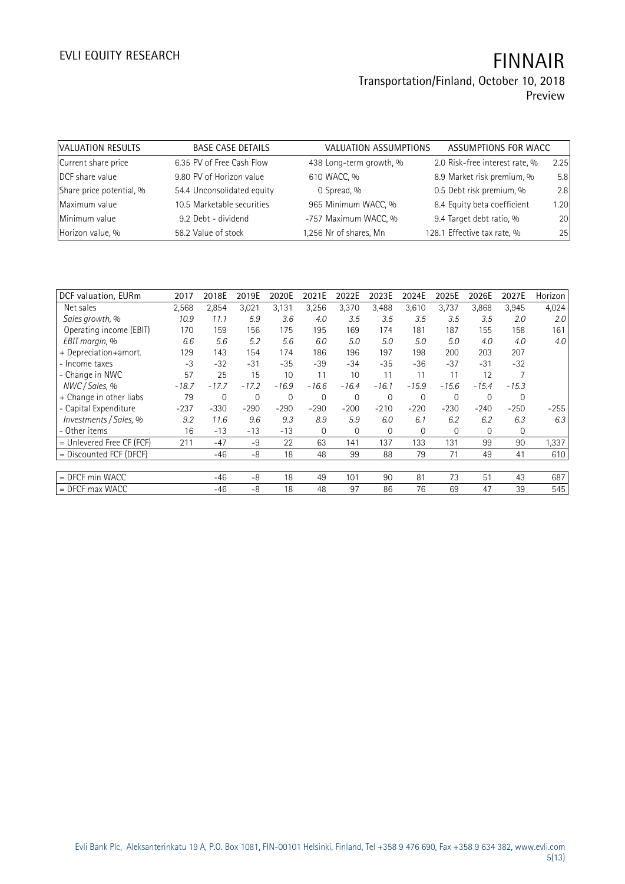### **Transportation/Finland, October 10, 2018 Preview**

| VALUATION RESULTS        | <b>BASE CASE DETAILS</b>   | VALUATION ASSUMPTIONS   | ASSUMPTIONS FOR WACC           |      |
|--------------------------|----------------------------|-------------------------|--------------------------------|------|
| Current share price      | 6.35 PV of Free Cash Flow  | 438 Long-term growth, % | 2.0 Risk-free interest rate, % | 2.25 |
| DCF share value          | 9.80 PV of Horizon value   | 610 WACC, %             | 8.9 Market risk premium, %     | 5.8  |
| Share price potential, % | 54.4 Unconsolidated equity | 0 Spread, %             | 0.5 Debt risk premium, %       | 2.8  |
| Maximum value            | 10.5 Marketable securities | 965 Minimum WACC, %     | 8.4 Equity beta coefficient    | 1.20 |
| Minimum value            | 9.2 Debt - dividend        | -757 Maximum WACC, %    | 9.4 Target debt ratio, %       | 20   |
| Horizon value, %         | 58.2 Value of stock        | 1,256 Nr of shares, Mn  | 128.1 Effective tax rate, %    | 25   |

| DCF valuation, EURm       | 2017    | 2018E   | 2019E          | 2020E   | 2021E        | 2022E    | 2023E        | 2024E    | 2025E          | 2026E    | 2027E   | Horizon |
|---------------------------|---------|---------|----------------|---------|--------------|----------|--------------|----------|----------------|----------|---------|---------|
| Net sales                 | 2,568   | 2,854   | 3,021          | 3,131   | 3,256        | 3,370    | 3,488        | 3,610    | 3,737          | 3,868    | 3,945   | 4,024   |
| Sales growth, %           | 10.9    | 11.1    | 5.9            | 3.6     | 4.0          | 3.5      | 3.5          | 3.5      | 3.5            | 3.5      | 2.0     | 2.0     |
| Operating income (EBIT)   | 170     | 159     | 156            | 175     | 195          | 169      | 174          | 181      | 187            | 155      | 158     | 161     |
| EBIT margin, %            | 6.6     | 5.6     | 5.2            | 5.6     | 6.0          | 5.0      | 5.0          | 5.0      | 5.0            | 4.0      | 4.0     | 4.0     |
| + Depreciation+amort.     | 129     | 143     | 154            | 174     | 186          | 196      | 197          | 198      | 200            | 203      | 207     |         |
| - Income taxes            | -3      | $-32$   | $-31$          | $-35$   | $-39$        | $-34$    | $-35$        | $-36$    | $-37$          | $-31$    | $-32$   |         |
| - Change in NWC           | 57      | 25      | 15             | 10      | 11           | 10       | 11           | 11       | 11             | 12       |         |         |
| NWC / Sales. %            | $-18.7$ | $-17.7$ | $-17.2$        | $-16.9$ | $-16.6$      | $-16.4$  | $-16.1$      | $-15.9$  | $-15.6$        | $-15.4$  | $-15.3$ |         |
| + Change in other liabs   | 79      | 0       | $\overline{0}$ | 0       | $\mathbf{0}$ | $\Omega$ | $\mathbf{0}$ | 0        | $\overline{0}$ | $\Omega$ | 0       |         |
| - Capital Expenditure     | $-237$  | $-330$  | $-290$         | $-290$  | $-290$       | $-200$   | $-210$       | $-220$   | $-230$         | $-240$   | $-250$  | $-255$  |
| Investments / Sales, %    | 9.2     | 11.6    | 9.6            | 9.3     | 8.9          | 5.9      | 6.0          | 6.1      | 6.2            | 6.2      | 6.3     | 6.3     |
| - Other items             | 16      | $-13$   | $-13$          | $-13$   | $\Omega$     | $\Omega$ | $\Omega$     | $\Omega$ | $\Omega$       | $\Omega$ | 0       |         |
| = Unlevered Free CF (FCF) | 211     | $-47$   | $-9$           | 22      | 63           | 141      | 137          | 133      | 131            | 99       | 90      | 1,337   |
| = Discounted FCF (DFCF)   |         | $-46$   | -8             | 18      | 48           | 99       | 88           | 79       | 71             | 49       | 41      | 610     |
|                           |         |         |                |         |              |          |              |          |                |          |         |         |
| $=$ DFCF min WACC         |         | $-46$   | -8             | 18      | 49           | 101      | 90           | 81       | 73             | 51       | 43      | 687     |
| $=$ DFCF max WACC         |         | $-46$   | -8             | 18      | 48           | 97       | 86           | 76       | 69             | 47       | 39      | 545     |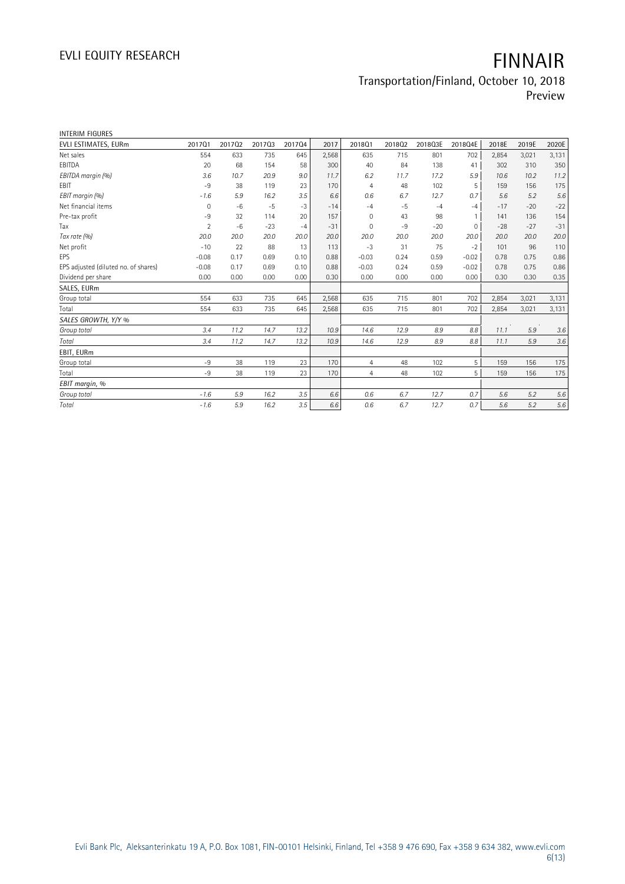### **Transportation/Finland, October 10, 2018 Preview**

| <b>INTERIM FIGURES</b>               |                |        |        |        |       |                |        |         |              |       |       |       |
|--------------------------------------|----------------|--------|--------|--------|-------|----------------|--------|---------|--------------|-------|-------|-------|
| EVLI ESTIMATES, EURm                 | 201701         | 201702 | 201703 | 201704 | 2017  | 201801         | 201802 | 2018Q3E | 2018Q4E      | 2018E | 2019E | 2020E |
| Net sales                            | 554            | 633    | 735    | 645    | 2,568 | 635            | 715    | 801     | 702          | 2,854 | 3,021 | 3,131 |
| EBITDA                               | 20             | 68     | 154    | 58     | 300   | 40             | 84     | 138     | 41           | 302   | 310   | 350   |
| EBITDA margin (%)                    | 3.6            | 10.7   | 20.9   | 9.0    | 11.7  | 6.2            | 11.7   | 17.2    | 5.9          | 10.6  | 10.2  | 11.2  |
| <b>FBIT</b>                          | $-9$           | 38     | 119    | 23     | 170   | $\overline{4}$ | 48     | 102     | 5            | 159   | 156   | 175   |
| EBIT margin (%)                      | $-1.6$         | 5.9    | 16.2   | 3.5    | 6.6   | 0.6            | 6.7    | 12.7    | 0.7          | 5.6   | 5.2   | 5.6   |
| Net financial items                  | 0              | $-6$   | $-5$   | $-3$   | $-14$ | $-4$           | $-5$   | $-4$    | $-4$         | $-17$ | $-20$ | $-22$ |
| Pre-tax profit                       | -9             | 32     | 114    | 20     | 157   | $\Omega$       | 43     | 98      | $\mathbf{1}$ | 141   | 136   | 154   |
| Tax                                  | $\overline{2}$ | $-6$   | $-23$  | $-4$   | $-31$ | $\mathbf{0}$   | $-9$   | $-20$   | $\mathbf 0$  | $-28$ | $-27$ | $-31$ |
| Tax rate (%)                         | 20.0           | 20.0   | 20.0   | 20.0   | 20.0  | 20.0           | 20.0   | 20.0    | 20.0         | 20.0  | 20.0  | 20.0  |
| Net profit                           | $-10$          | 22     | 88     | 13     | 113   | $-3$           | 31     | 75      | $-2$         | 101   | 96    | 110   |
| <b>EPS</b>                           | $-0.08$        | 0.17   | 0.69   | 0.10   | 0.88  | $-0.03$        | 0.24   | 0.59    | $-0.02$      | 0.78  | 0.75  | 0.86  |
| EPS adjusted (diluted no. of shares) | $-0.08$        | 0.17   | 0.69   | 0.10   | 0.88  | $-0.03$        | 0.24   | 0.59    | $-0.02$      | 0.78  | 0.75  | 0.86  |
| Dividend per share                   | 0.00           | 0.00   | 0.00   | 0.00   | 0.30  | 0.00           | 0.00   | 0.00    | 0.00         | 0.30  | 0.30  | 0.35  |
| SALES, EURm                          |                |        |        |        |       |                |        |         |              |       |       |       |
| Group total                          | 554            | 633    | 735    | 645    | 2,568 | 635            | 715    | 801     | 702          | 2,854 | 3,021 | 3,131 |
| Total                                | 554            | 633    | 735    | 645    | 2,568 | 635            | 715    | 801     | 702          | 2,854 | 3,021 | 3,131 |
| SALES GROWTH, Y/Y %                  |                |        |        |        |       |                |        |         |              |       |       |       |
| Group total                          | 3.4            | 11.2   | 14.7   | 13.2   | 10.9  | 14.6           | 12.9   | 8.9     | 8.8          | 11.1  | 5.9   | 3.6   |
| Total                                | 3.4            | 11.2   | 14.7   | 13.2   | 10.9  | 14.6           | 12.9   | 8.9     | 8.8          | 11.1  | 5.9   | 3.6   |
| EBIT, EURm                           |                |        |        |        |       |                |        |         |              |       |       |       |
| Group total                          | -9             | 38     | 119    | 23     | 170   | $\overline{4}$ | 48     | 102     | 5            | 159   | 156   | 175   |
| Total                                | $-9$           | 38     | 119    | 23     | 170   | $\overline{4}$ | 48     | 102     | 5            | 159   | 156   | 175   |
| EBIT margin, %                       |                |        |        |        |       |                |        |         |              |       |       |       |
| Group total                          | $-1.6$         | 5.9    | 16.2   | 3.5    | 6.6   | 0.6            | 6.7    | 12.7    | 0.7          | 5.6   | 5.2   | 5.6   |
| Total                                | $-1.6$         | 5.9    | 16.2   | 3.5    | 6.6   | 0.6            | 6.7    | 12.7    | 0.7          | 5.6   | 5.2   | 5.6   |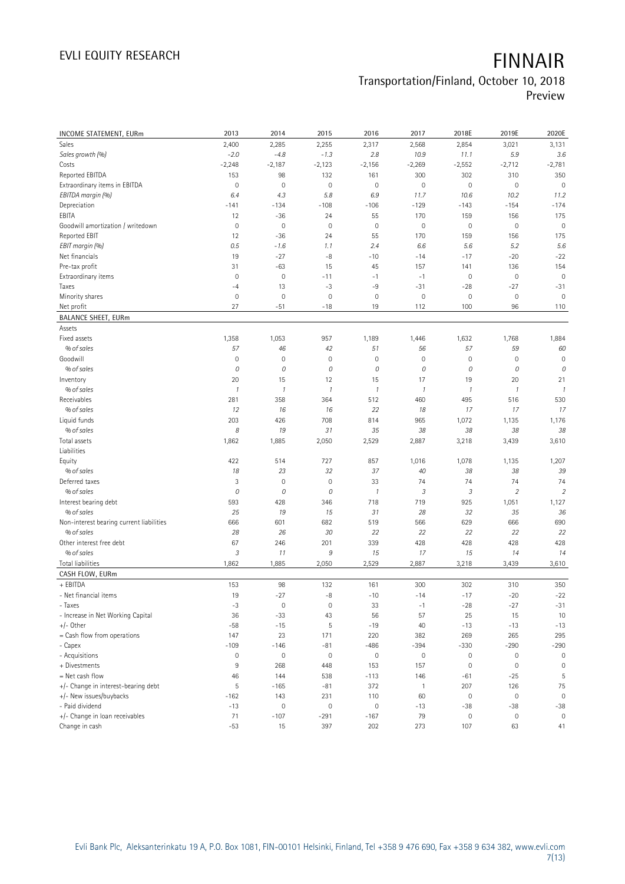## **Transportation/Finland, October 10, 2018**

**Preview**

| <b>INCOME STATEMENT, EURm</b>            | 2013                | 2014          | 2015                | 2016                | 2017           | 2018E                       | 2019E               | 2020E          |
|------------------------------------------|---------------------|---------------|---------------------|---------------------|----------------|-----------------------------|---------------------|----------------|
| Sales                                    | 2,400               | 2,285         | 2,255               | 2,317               | 2,568          | 2,854                       | 3,021               | 3,131          |
| Sales growth (%)                         | $-2.0$              | $-4.8$        | $-1.3$              | 2.8                 | 10.9           | 11.1                        | 5.9                 | 3.6            |
| Costs                                    | $-2,248$            | $-2,187$      | $-2,123$            | $-2,156$            | $-2,269$       | $-2,552$                    | $-2,712$            | $-2,781$       |
| Reported EBITDA                          | 153                 | 98            | 132                 | 161                 | 300            | 302                         | 310                 | 350            |
| Extraordinary items in EBITDA            | $\mathbf 0$         | $\mathbf 0$   | $\circ$             | $\mathsf{O}\xspace$ | $\mathbf 0$    | $\mathsf{O}\xspace$         | $\mathbf 0$         | $\mathbf 0$    |
| EBITDA margin (%)                        | 6.4                 | 4.3           | 5.8                 | 6.9                 | 11.7           | 10.6                        | 10.2                | 11.2           |
| Depreciation                             | $-141$              | $-134$        | $-108$              | $-106$              | $-129$         | $-143$                      | $-154$              | $-174$         |
| EBITA                                    | 12                  | $-36$         | 24                  | 55                  | 170            | 159                         | 156                 | 175            |
| Goodwill amortization / writedown        | $\mathbb O$         | $\mathbb O$   | $\mathbf 0$         | $\mathsf{O}\xspace$ | $\mathbf 0$    | $\circ$                     | $\mathbf 0$         | $\mathbf 0$    |
| Reported EBIT                            | 12                  | $-36$         | 24                  | 55                  | 170            | 159                         | 156                 | 175            |
| EBIT margin (%)                          | 0.5                 | $-1.6$        | 1.1                 | 2.4                 | 6.6            | 5.6                         | 5.2                 | 5.6            |
| Net financials                           | 19                  | $-27$         | $-8$                | $-10$               | $-14$          | $-17$                       | $-20$               | $-22$          |
| Pre-tax profit                           | 31                  | $-63$         | 15                  | 45                  | 157            | 141                         | 136                 | 154            |
| Extraordinary items                      | $\mathbf 0$         | $\mathbf 0$   | $-11$               | $-1$                | $-1$           | $\mathsf{O}\xspace$         | $\mathbf 0$         | $\mathbf 0$    |
| Taxes                                    | $-4$                | 13            | $-3$                | -9                  | $-31$          | $-28$                       | $-27$               | $-31$          |
| Minority shares                          | $\mathbf 0$         | $\mathbf 0$   | $\mathbf 0$         | $\mathsf{O}\xspace$ | $\mathbf 0$    | $\mathbf 0$                 | $\mathbf 0$         | $\mathbf 0$    |
| Net profit                               | 27                  | $-51$         | $-18$               | 19                  | 112            | 100                         | 96                  | 110            |
| <b>BALANCE SHEET, EURm</b>               |                     |               |                     |                     |                |                             |                     |                |
| Assets                                   |                     |               |                     |                     |                |                             |                     |                |
| Fixed assets                             | 1,358               | 1,053         | 957                 | 1,189               | 1,446          | 1,632                       | 1,768               | 1,884          |
| % of sales                               | 57                  | 46            | 42                  | 51                  | 56             | 57                          | 59                  | 60             |
| Goodwill                                 | $\mathbf 0$         | $\mathbf 0$   | $\mathbf 0$         | $\mathsf{O}\xspace$ | $\mathbf 0$    | $\mathsf{O}\xspace$         | $\mathbf 0$         | $\mathbf 0$    |
| % of sales                               | 0                   | 0             | $\cal O$            | 0                   | 0              | 0                           | 0                   | 0              |
| Inventory                                | 20                  | 15            | 12                  | 15                  | 17             | 19                          | 20                  | 21             |
| % of sales                               | $\mathcal{I}$       | $\mathcal{I}$ | $\mathcal{I}$       | $\mathcal{I}$       | $\mathcal{I}$  | $\mathcal{I}$               | $\boldsymbol{\eta}$ | $\mathcal{I}$  |
| Receivables                              | 281                 | 358           | 364                 | 512                 | 460            | 495                         | 516                 | 530            |
| % of sales                               | 12                  | 16            | 16                  | 22                  | 18             | 17                          | 17                  | 17             |
| Liquid funds                             | 203                 | 426           | 708                 | 814                 | 965            | 1,072                       | 1,135               | 1,176          |
| % of sales                               | 8                   | 19            | 31                  | 35                  | 38             | 38                          | 38                  | 38             |
| Total assets                             | 1,862               | 1,885         | 2,050               | 2,529               | 2,887          | 3,218                       | 3,439               | 3,610          |
| Liabilities                              |                     |               |                     |                     |                |                             |                     |                |
| Equity                                   | 422                 | 514           | 727                 | 857                 | 1,016          | 1,078                       | 1,135               | 1,207          |
| % of sales                               | 18                  | 23            | 32                  | 37                  | 40             | 38                          | 38                  | 39             |
| Deferred taxes                           | 3                   | $\mathbf 0$   | $\mathbf 0$         | 33                  | 74             | 74                          | 74                  | 74             |
| % of sales                               | 0                   | 0             | $\cal O$            | 1                   | 3              | $\ensuremath{\mathfrak{Z}}$ | $\sqrt{2}$          | $\overline{2}$ |
| Interest bearing debt                    | 593                 | 428           | 346                 | 718                 | 719            | 925                         | 1,051               | 1,127          |
| % of sales                               | 25                  | 19            | 15                  | 31                  | 28             | 32                          | 35                  | 36             |
| Non-interest bearing current liabilities | 666                 | 601           | 682                 | 519                 | 566            | 629                         | 666                 | 690            |
| % of sales                               | 28                  | 26            | 30                  | 22                  | 22             | 22                          | 22                  | 22             |
| Other interest free debt                 | 67                  | 246           | 201                 | 339                 | 428            | 428                         | 428                 | 428            |
| % of sales                               | 3                   | 11            | $\boldsymbol{9}$    | 15                  | 17             | 15                          | 14                  | 14             |
| <b>Total liabilities</b>                 | 1,862               | 1,885         | 2,050               | 2,529               | 2,887          | 3,218                       | 3,439               | 3,610          |
| CASH FLOW, EURm                          |                     |               |                     |                     |                |                             |                     |                |
| + EBITDA                                 | 153                 | 98            | 132                 | 161                 | 300            | 302                         | 310                 | 350            |
| - Net financial items                    | 19                  | $-27$         | -8                  | $-10$               | $-14$          | $-17$                       | $-20$               | $-22$          |
| - Taxes                                  | $-3$                | $\mathbf 0$   | $\mathbf 0$         | 33                  | $-1$           | $-28$                       | $-27$               | $-31$          |
| - Increase in Net Working Capital        | 36                  | $-33$         | 43                  | 56                  | 57             | 25                          | 15                  | 10             |
| +/- Other                                | $-58$               | $-15$         | 5                   | $-19$               | 40             | $-13$                       | $-13$               | $-13$          |
| = Cash flow from operations              | 147                 | 23            | 171                 | 220                 | 382            | 269                         | 265                 | 295            |
| - Capex                                  | $-109$              | $-146$        | $-81$               | $-486$              | $-394$         | $-330$                      | $-290$              | $-290$         |
| - Acquisitions                           | $\mathsf{O}\xspace$ | $\mathbf 0$   | $\mathbf 0$         | $\mathsf{O}\xspace$ | $\mathbf 0$    | $\mathbf 0$                 | $\mathbf 0$         | $\mathbf 0$    |
| + Divestments                            | $\overline{9}$      | 268           | 448                 | 153                 | 157            | $\mathbb O$                 | $\mathbf 0$         | $\mathbf{0}$   |
| = Net cash flow                          | 46                  | 144           | 538                 | $-113$              | 146            | $-61$                       | $-25$               | 5              |
| +/- Change in interest-bearing debt      | 5                   | $-165$        | $-81$               | 372                 | $\overline{1}$ | 207                         | 126                 | 75             |
| +/- New issues/buybacks                  | $-162$              | 143           | 231                 | 110                 | 60             | $\mathbf 0$                 | $\mathbf 0$         | $\mathbf 0$    |
| - Paid dividend                          | $-13$               | $\mathbf 0$   | $\mathsf{O}\xspace$ | $\mathsf{O}\xspace$ | $-13$          | $-38$                       | -38                 | $-38$          |
| +/- Change in loan receivables           | 71                  | $-107$        | $-291$              | $-167$              | 79             | $\mathsf{O}\xspace$         | $\boldsymbol{0}$    | $\mathbf{0}$   |
| Change in cash                           | $-53$               | 15            | 397                 | 202                 | 273            | 107                         | 63                  | 41             |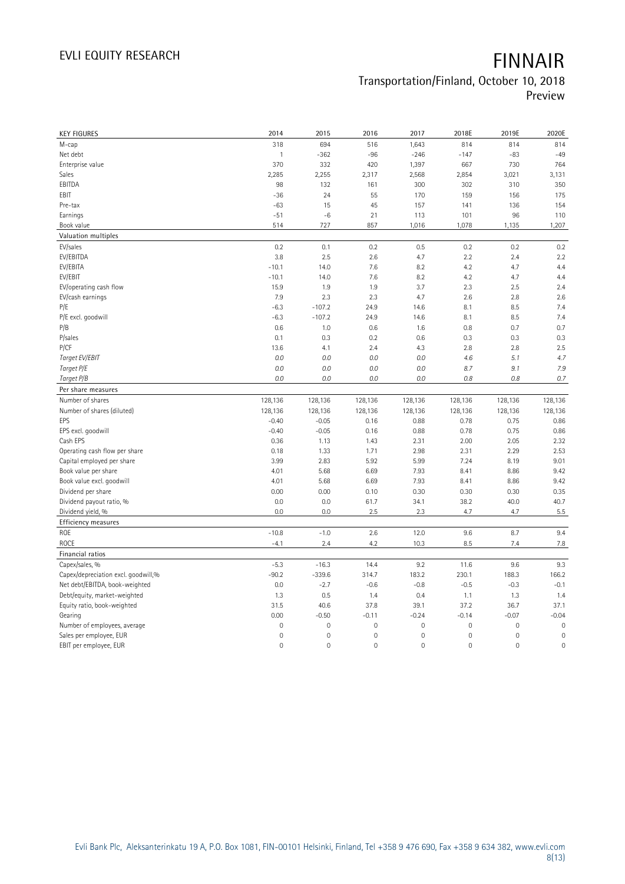# **Transportation/Finland, October 10, 2018**

**Preview**

| <b>KEY FIGURES</b>                                    | 2014                        | 2015                   | 2016                   | 2017                           | 2018E                  | 2019E                  | 2020E                  |
|-------------------------------------------------------|-----------------------------|------------------------|------------------------|--------------------------------|------------------------|------------------------|------------------------|
| M-cap                                                 | 318                         | 694                    | 516                    | 1,643                          | 814                    | 814                    | 814                    |
| Net debt                                              | $\mathbf{1}$                | $-362$                 | $-96$                  | $-246$                         | $-147$                 | $-83$                  | $-49$                  |
| Enterprise value                                      | 370                         | 332                    | 420                    | 1,397                          | 667                    | 730                    | 764                    |
| Sales                                                 | 2,285                       | 2,255                  | 2,317                  | 2,568                          | 2,854                  | 3,021                  | 3,131                  |
| EBITDA                                                | 98                          | 132                    | 161                    | 300                            | 302                    | 310                    | 350                    |
| EBIT                                                  | $-36$                       | 24                     | 55                     | 170                            | 159                    | 156                    | 175                    |
| Pre-tax                                               | $-63$                       | 15                     | 45                     | 157                            | 141                    | 136                    | 154                    |
| Earnings                                              | $-51$                       | $-6$                   | 21                     | 113                            | 101                    | 96                     | 110                    |
| Book value                                            | 514                         | 727                    | 857                    | 1,016                          | 1,078                  | 1,135                  | 1,207                  |
| Valuation multiples                                   |                             |                        |                        |                                |                        |                        |                        |
| EV/sales                                              | 0.2                         | 0.1                    | 0.2                    | 0.5                            | 0.2                    | $0.2\,$                | 0.2                    |
| EV/EBITDA                                             | 3.8                         | 2.5                    | 2.6                    | 4.7                            | 2.2                    | 2.4                    | 2.2                    |
| EV/EBITA                                              | $-10.1$                     | 14.0                   | 7.6                    | 8.2                            | 4.2                    | 4.7                    | 4.4                    |
| EV/EBIT                                               | $-10.1$                     | 14.0                   | 7.6                    | 8.2                            | 4.2                    | 4.7                    | 4.4                    |
| EV/operating cash flow                                | 15.9                        | 1.9                    | 1.9                    | 3.7                            | 2.3                    | 2.5                    | 2.4                    |
| EV/cash earnings                                      | 7.9                         | 2.3                    | 2.3                    | 4.7                            | 2.6                    | 2.8                    | 2.6                    |
| P/E                                                   | $-6.3$                      | $-107.2$               | 24.9                   | 14.6                           | 8.1                    | 8.5                    | 7.4                    |
| P/E excl. goodwill                                    | $-6.3$                      | $-107.2$               | 24.9                   | 14.6                           | 8.1                    | 8.5                    | 7.4                    |
| P/B                                                   | 0.6                         | 1.0                    | 0.6                    | 1.6                            | 0.8                    | 0.7                    | 0.7                    |
| P/sales                                               | 0.1                         | 0.3                    | 0.2                    | 0.6                            | 0.3                    | 0.3                    | 0.3                    |
| P/CF                                                  | 13.6                        | 4.1                    | 2.4                    | 4.3                            | 2.8                    | 2.8                    | 2.5                    |
| Target EV/EBIT                                        | 0.0                         | 0.0                    | 0.0                    | 0.0                            | 4.6                    | 5.1                    | 4.7                    |
| Target P/E                                            | 0.0                         | 0.0                    | 0.0                    | 0.0                            | 8.7                    | 9.1                    | 7.9                    |
| Target P/B                                            | 0.0                         | 0.0                    | 0.0                    | 0.0                            | 0.8                    | 0.8                    | 0.7                    |
| Per share measures                                    |                             |                        |                        |                                |                        |                        |                        |
|                                                       |                             |                        |                        |                                |                        |                        |                        |
|                                                       |                             |                        |                        |                                |                        |                        |                        |
| Number of shares                                      | 128,136                     | 128,136                | 128,136                | 128,136                        | 128,136                | 128,136                | 128,136                |
| Number of shares (diluted)<br>EPS                     | 128,136                     | 128,136                | 128,136                | 128,136                        | 128,136                | 128,136                | 128,136                |
|                                                       | $-0.40$                     | $-0.05$                | 0.16                   | 0.88                           | 0.78                   | 0.75                   | 0.86                   |
| EPS excl. goodwill                                    | $-0.40$                     | $-0.05$                | 0.16                   | 0.88                           | 0.78                   | 0.75                   | 0.86                   |
| Cash EPS                                              | 0.36<br>0.18                | 1.13                   | 1.43                   | 2.31<br>2.98                   | 2.00                   | 2.05<br>2.29           | 2.32<br>2.53           |
| Operating cash flow per share                         |                             | 1.33                   | 1.71                   |                                | 2.31                   |                        |                        |
| Capital employed per share                            | 3.99<br>4.01                | 2.83<br>5.68           | 5.92                   | 5.99                           | 7.24<br>8.41           | 8.19<br>8.86           | 9.01<br>9.42           |
| Book value per share                                  |                             |                        | 6.69                   | 7.93                           |                        |                        |                        |
| Book value excl. goodwill                             | 4.01<br>0.00                | 5.68<br>0.00           | 6.69<br>0.10           | 7.93<br>0.30                   | 8.41<br>0.30           | 8.86<br>0.30           | 9.42                   |
| Dividend per share<br>Dividend payout ratio, %        | 0.0                         | 0.0                    | 61.7                   | 34.1                           | 38.2                   | 40.0                   | 0.35<br>40.7           |
|                                                       | 0.0                         | 0.0                    | 2.5                    | 2.3                            | 4.7                    | 4.7                    | 5.5                    |
| Dividend yield, %                                     |                             |                        |                        |                                |                        |                        |                        |
| Efficiency measures<br>ROE                            | $-10.8$                     |                        | 2.6                    |                                | 9.6                    |                        | 9.4                    |
|                                                       |                             | $-1.0$                 |                        | 12.0                           |                        | 8.7<br>7.4             |                        |
| ROCE                                                  | $-4.1$                      | 2.4                    | 4.2                    | 10.3                           | 8.5                    |                        | 7.8                    |
| Financial ratios                                      |                             |                        |                        |                                |                        |                        |                        |
| Capex/sales, %<br>Capex/depreciation excl. goodwill,% | $-5.3$<br>$-90.2$           | $-16.3$<br>$-339.6$    | 14.4<br>314.7          | 9.2<br>183.2                   | 11.6<br>230.1          | 9.6<br>188.3           | 9.3<br>166.2           |
|                                                       |                             |                        |                        |                                |                        |                        |                        |
| Net debt/EBITDA, book-weighted                        | 0.0<br>1.3                  | $-2.7$<br>0.5          | $-0.6$                 | $-0.8$<br>0.4                  | $-0.5$                 | $-0.3$<br>1.3          | $-0.1$                 |
| Debt/equity, market-weighted                          | 31.5                        | 40.6                   | 1.4<br>37.8            | 39.1                           | 1.1<br>37.2            | 36.7                   | 1.4<br>37.1            |
| Equity ratio, book-weighted                           |                             |                        |                        |                                |                        |                        |                        |
| Gearing<br>Number of employees, average               | 0.00<br>$\mathsf{O}\xspace$ | $-0.50$<br>$\mathbf 0$ | $-0.11$<br>$\mathbf 0$ | $-0.24$<br>$\mathsf{O}\xspace$ | $-0.14$<br>$\mathbf 0$ | $-0.07$<br>$\mathbf 0$ | $-0.04$<br>$\mathbf 0$ |
| Sales per employee, EUR                               | 0                           | $\mathbf 0$            | $\mathbf 0$            | $\mathsf{O}\xspace$            | $\mathbf 0$            | $\mathbf 0$            | $\mathbf 0$            |
| EBIT per employee, EUR                                | $\mathsf{O}\xspace$         | $\mathbf 0$            | $\mathbf 0$            | 0                              | $\mathbf 0$            | $\mathbf 0$            | $\mathbf 0$            |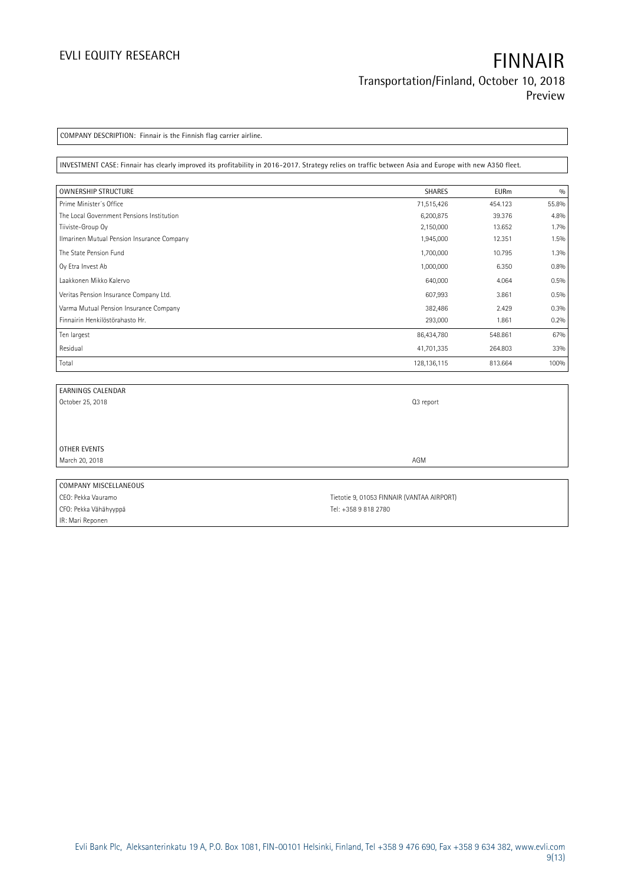IR: Mari Reponen

**COMPANY DESCRIPTION: Finnair is the Finnish flag carrier airline.**

**INVESTMENT CASE: Finnair has clearly improved its profitability in 2016-2017. Strategy relies on traffic between Asia and Europe with new A350 fleet.**

| <b>OWNERSHIP STRUCTURE</b>                 | SHARES        | <b>EURm</b> | 0/0     |
|--------------------------------------------|---------------|-------------|---------|
| Prime Minister's Office                    | 71,515,426    | 454.123     | 55.8%   |
| The Local Government Pensions Institution  | 6,200,875     | 39.376      | 4.8%    |
| Tiiviste-Group Oy                          | 2,150,000     | 13.652      | $1.7\%$ |
| Ilmarinen Mutual Pension Insurance Company | 1,945,000     | 12.351      | 1.5%    |
| The State Pension Fund                     | 1,700,000     | 10.795      | 1.3%    |
| Oy Etra Invest Ab                          | 1,000,000     | 6.350       | 0.8%    |
| Laakkonen Mikko Kalervo                    | 640,000       | 4.064       | 0.5%    |
| Veritas Pension Insurance Company Ltd.     | 607,993       | 3.861       | 0.5%    |
| Varma Mutual Pension Insurance Company     | 382,486       | 2.429       | 0.3%    |
| Finnairin Henkilöstörahasto Hr.            | 293,000       | 1.861       | 0.2%    |
| Ten largest                                | 86,434,780    | 548.861     | 67%     |
| Residual                                   | 41,701,335    | 264.803     | 33%     |
| Total                                      | 128, 136, 115 | 813.664     | 100%    |

| EARNINGS CALENDAR     |                                            |
|-----------------------|--------------------------------------------|
| October 25, 2018      | Q3 report                                  |
|                       |                                            |
|                       |                                            |
|                       |                                            |
| OTHER EVENTS          |                                            |
| March 20, 2018        | AGM                                        |
|                       |                                            |
| COMPANY MISCELLANEOUS |                                            |
| CEO: Pekka Vauramo    | Tietotie 9, 01053 FINNAIR (VANTAA AIRPORT) |
| CFO: Pekka Vähähyyppä | Tel: +358 9 818 2780                       |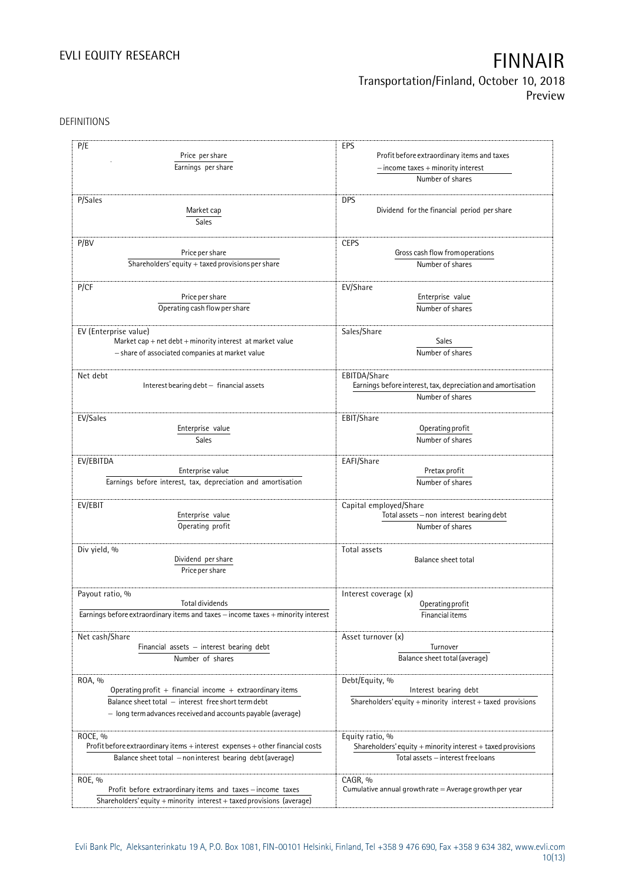## **Transportation/Finland, October 10, 2018 Preview**

DEFINITIONS

| P/E                                                                                                                                                                                        | EPS                                                                                                        |  |  |
|--------------------------------------------------------------------------------------------------------------------------------------------------------------------------------------------|------------------------------------------------------------------------------------------------------------|--|--|
| Price per share                                                                                                                                                                            | Profit before extraordinary items and taxes                                                                |  |  |
| Earnings per share                                                                                                                                                                         | $-$ income taxes $+$ minority interest                                                                     |  |  |
|                                                                                                                                                                                            | Number of shares                                                                                           |  |  |
| P/Sales<br>Market cap<br>Sales                                                                                                                                                             | <b>DPS</b><br>Dividend for the financial period per share                                                  |  |  |
| P/BV                                                                                                                                                                                       | <b>CEPS</b>                                                                                                |  |  |
| Price per share                                                                                                                                                                            | Gross cash flow from operations                                                                            |  |  |
| Shareholders' equity + taxed provisions per share                                                                                                                                          | Number of shares                                                                                           |  |  |
| P/CF                                                                                                                                                                                       | EV/Share                                                                                                   |  |  |
| Price per share                                                                                                                                                                            | Enterprise value                                                                                           |  |  |
| Operating cash flow per share                                                                                                                                                              | Number of shares                                                                                           |  |  |
| EV (Enterprise value)                                                                                                                                                                      | Sales/Share                                                                                                |  |  |
| Market cap + net $debt$ + minority interest at market value                                                                                                                                | <b>Sales</b>                                                                                               |  |  |
| - share of associated companies at market value                                                                                                                                            | Number of shares                                                                                           |  |  |
| Net debt<br>Interest bearing debt - financial assets                                                                                                                                       | EBITDA/Share<br>Earnings before interest, tax, depreciation and amortisation<br>Number of shares           |  |  |
| EV/Sales                                                                                                                                                                                   | EBIT/Share                                                                                                 |  |  |
| Enterprise value                                                                                                                                                                           | Operating profit                                                                                           |  |  |
| Sales                                                                                                                                                                                      | Number of shares                                                                                           |  |  |
| EV/EBITDA                                                                                                                                                                                  | EAFI/Share                                                                                                 |  |  |
| Enterprise value                                                                                                                                                                           | Pretax profit                                                                                              |  |  |
| Earnings before interest, tax, depreciation and amortisation                                                                                                                               | Number of shares                                                                                           |  |  |
| EV/EBIT                                                                                                                                                                                    | Capital employed/Share                                                                                     |  |  |
| Enterprise value                                                                                                                                                                           | Total assets - non interest bearing debt                                                                   |  |  |
| Operating profit                                                                                                                                                                           | Number of shares                                                                                           |  |  |
| Div yield, %<br>Dividend per share<br>Price per share                                                                                                                                      | Total assets<br>Balance sheet total                                                                        |  |  |
| Payout ratio, %                                                                                                                                                                            | Interest coverage (x)                                                                                      |  |  |
| Total dividends                                                                                                                                                                            | Operating profit                                                                                           |  |  |
| Earnings before extraordinary items and taxes - income taxes + minority interest                                                                                                           | Financial items                                                                                            |  |  |
| Net cash/Share                                                                                                                                                                             | Asset turnover (x)                                                                                         |  |  |
| Financial assets - interest bearing debt                                                                                                                                                   | Turnover                                                                                                   |  |  |
| Number of shares                                                                                                                                                                           | Balance sheet total (average)                                                                              |  |  |
| ROA, %<br>Operating profit + financial income + extraordinary items<br>Balance sheet total - interest free short term debt<br>- long term advances received and accounts payable (average) | Debt/Equity, %<br>Interest bearing debt<br>Shareholders' equity $+$ minority interest $+$ taxed provisions |  |  |
| ROCE, %                                                                                                                                                                                    | Equity ratio, %                                                                                            |  |  |
| Profit before extraordinary items + interest expenses + other financial costs                                                                                                              | Shareholders' equity + minority interest + taxed provisions                                                |  |  |
| Balance sheet total - non interest bearing debt (average)                                                                                                                                  | Total assets - interest free loans                                                                         |  |  |
| ROE, %<br>Profit before extraordinary items and taxes - income taxes<br>Shareholders' equity + minority interest + taxed provisions (average)                                              | CAGR, %<br>Cumulative annual growth rate $=$ Average growth per year                                       |  |  |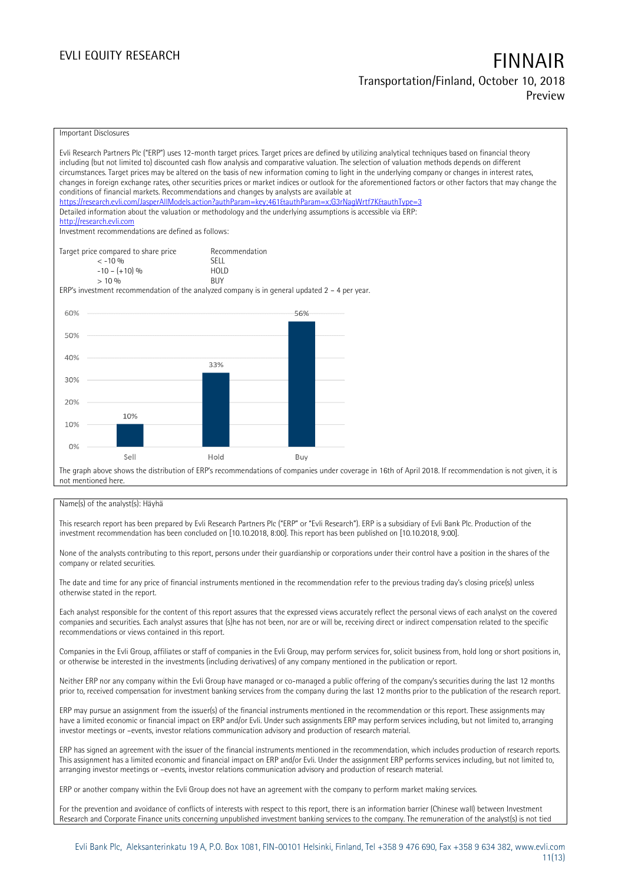### **EVLI EQUITY RESEARCH FINNAIR Transportation/Finland, October 10, 2018 Preview**

Important Disclosures Evli Research Partners Plc ("ERP") uses 12-month target prices. Target prices are defined by utilizing analytical techniques based on financial theory including (but not limited to) discounted cash flow analysis and comparative valuation. The selection of valuation methods depends on different circumstances. Target prices may be altered on the basis of new information coming to light in the underlying company or changes in interest rates, changes in foreign exchange rates, other securities prices or market indices or outlook for the aforementioned factors or other factors that may change the conditions of financial markets. Recommendations and changes by analysts are available at https://research.evli.com/JasperAllModels.action?authParam=key;461&tauthParam=x;G3rNagWrtf7K&tauthType=3 Detailed information about the valuation or methodology and the underlying assumptions is accessible via ERP: [http://research.evli.com](http://research.evli.com/) Investment recommendations are defined as follows: Target price compared to share price Recommendation<br>  $\leq -10\%$ < -10 % SELL  $-10 - (+10) \%$  HOL<br> $> 10 \%$  RIIY  $> 10\%$ ERP's investment recommendation of the analyzed company is in general updated 2 – 4 per year. 60% 56% 50% 40%  $33%$ 30% 20% 10% 10%  $0%$ Hold Sel Buy The graph above shows the distribution of ERP's recommendations of companies under coverage in 16th of April 2018. If recommendation is not given, it is not mentioned here.

### Name(s) of the analyst(s): Häyhä

This research report has been prepared by Evli Research Partners Plc ("ERP" or "Evli Research"). ERP is a subsidiary of Evli Bank Plc. Production of the investment recommendation has been concluded on [10.10.2018, 8:00]. This report has been published on [10.10.2018, 9:00].

None of the analysts contributing to this report, persons under their guardianship or corporations under their control have a position in the shares of the company or related securities.

The date and time for any price of financial instruments mentioned in the recommendation refer to the previous trading day's closing price(s) unless otherwise stated in the report.

Each analyst responsible for the content of this report assures that the expressed views accurately reflect the personal views of each analyst on the covered companies and securities. Each analyst assures that (s)he has not been, nor are or will be, receiving direct or indirect compensation related to the specific recommendations or views contained in this report.

Companies in the Evli Group, affiliates or staff of companies in the Evli Group, may perform services for, solicit business from, hold long or short positions in, or otherwise be interested in the investments (including derivatives) of any company mentioned in the publication or report.

Neither ERP nor any company within the Evli Group have managed or co-managed a public offering of the company's securities during the last 12 months prior to, received compensation for investment banking services from the company during the last 12 months prior to the publication of the research report.

ERP may pursue an assignment from the issuer(s) of the financial instruments mentioned in the recommendation or this report. These assignments may have a limited economic or financial impact on ERP and/or Evli. Under such assignments ERP may perform services including, but not limited to, arranging investor meetings or –events, investor relations communication advisory and production of research material.

ERP has signed an agreement with the issuer of the financial instruments mentioned in the recommendation, which includes production of research reports. This assignment has a limited economic and financial impact on ERP and/or Evli. Under the assignment ERP performs services including, but not limited to, arranging investor meetings or –events, investor relations communication advisory and production of research material.

ERP or another company within the Evli Group does not have an agreement with the company to perform market making services.

For the prevention and avoidance of conflicts of interests with respect to this report, there is an information barrier (Chinese wall) between Investment Research and Corporate Finance units concerning unpublished investment banking services to the company. The remuneration of the analyst(s) is not tied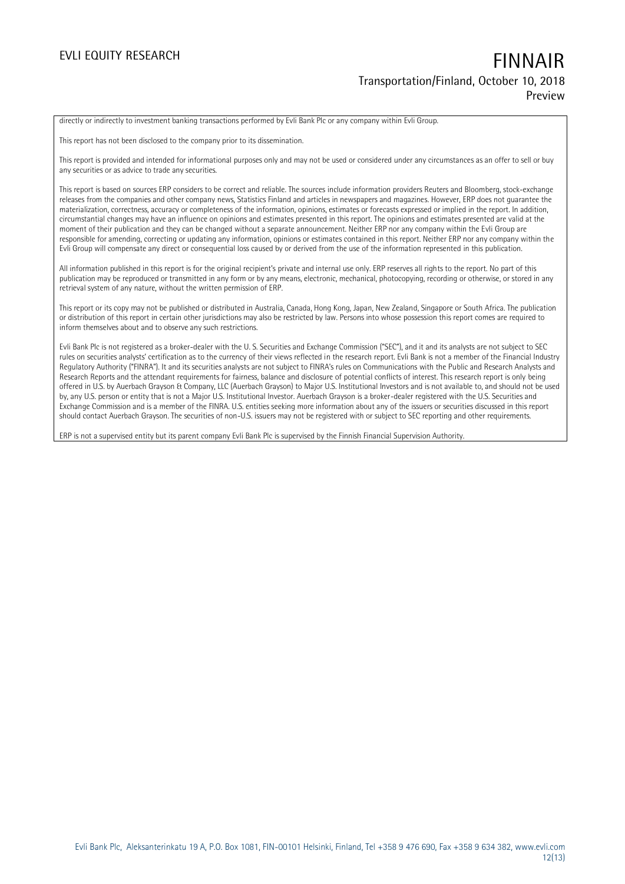### **EVLI EQUITY RESEARCH FINNAIR Transportation/Finland, October 10, 2018 Preview**

directly or indirectly to investment banking transactions performed by Evli Bank Plc or any company within Evli Group.

This report has not been disclosed to the company prior to its dissemination.

This report is provided and intended for informational purposes only and may not be used or considered under any circumstances as an offer to sell or buy any securities or as advice to trade any securities.

This report is based on sources ERP considers to be correct and reliable. The sources include information providers Reuters and Bloomberg, stock-exchange releases from the companies and other company news, Statistics Finland and articles in newspapers and magazines. However, ERP does not guarantee the materialization, correctness, accuracy or completeness of the information, opinions, estimates or forecasts expressed or implied in the report. In addition, circumstantial changes may have an influence on opinions and estimates presented in this report. The opinions and estimates presented are valid at the moment of their publication and they can be changed without a separate announcement. Neither ERP nor any company within the Evli Group are responsible for amending, correcting or updating any information, opinions or estimates contained in this report. Neither ERP nor any company within the Evli Group will compensate any direct or consequential loss caused by or derived from the use of the information represented in this publication.

All information published in this report is for the original recipient's private and internal use only. ERP reserves all rights to the report. No part of this publication may be reproduced or transmitted in any form or by any means, electronic, mechanical, photocopying, recording or otherwise, or stored in any retrieval system of any nature, without the written permission of ERP.

This report or its copy may not be published or distributed in Australia, Canada, Hong Kong, Japan, New Zealand, Singapore or South Africa. The publication or distribution of this report in certain other jurisdictions may also be restricted by law. Persons into whose possession this report comes are required to inform themselves about and to observe any such restrictions.

Evli Bank Plc is not registered as a broker-dealer with the U. S. Securities and Exchange Commission ("SEC"), and it and its analysts are not subject to SEC rules on securities analysts' certification as to the currency of their views reflected in the research report. Evli Bank is not a member of the Financial Industry Regulatory Authority ("FINRA"). It and its securities analysts are not subject to FINRA's rules on Communications with the Public and Research Analysts and Research Reports and the attendant requirements for fairness, balance and disclosure of potential conflicts of interest. This research report is only being offered in U.S. by Auerbach Grayson & Company, LLC (Auerbach Grayson) to Major U.S. Institutional Investors and is not available to, and should not be used by, any U.S. person or entity that is not a Major U.S. Institutional Investor. Auerbach Grayson is a broker-dealer registered with the U.S. Securities and Exchange Commission and is a member of the FINRA. U.S. entities seeking more information about any of the issuers or securities discussed in this report should contact Auerbach Grayson. The securities of non-U.S. issuers may not be registered with or subject to SEC reporting and other requirements.

ERP is not a supervised entity but its parent company Evli Bank Plc is supervised by the Finnish Financial Supervision Authority.